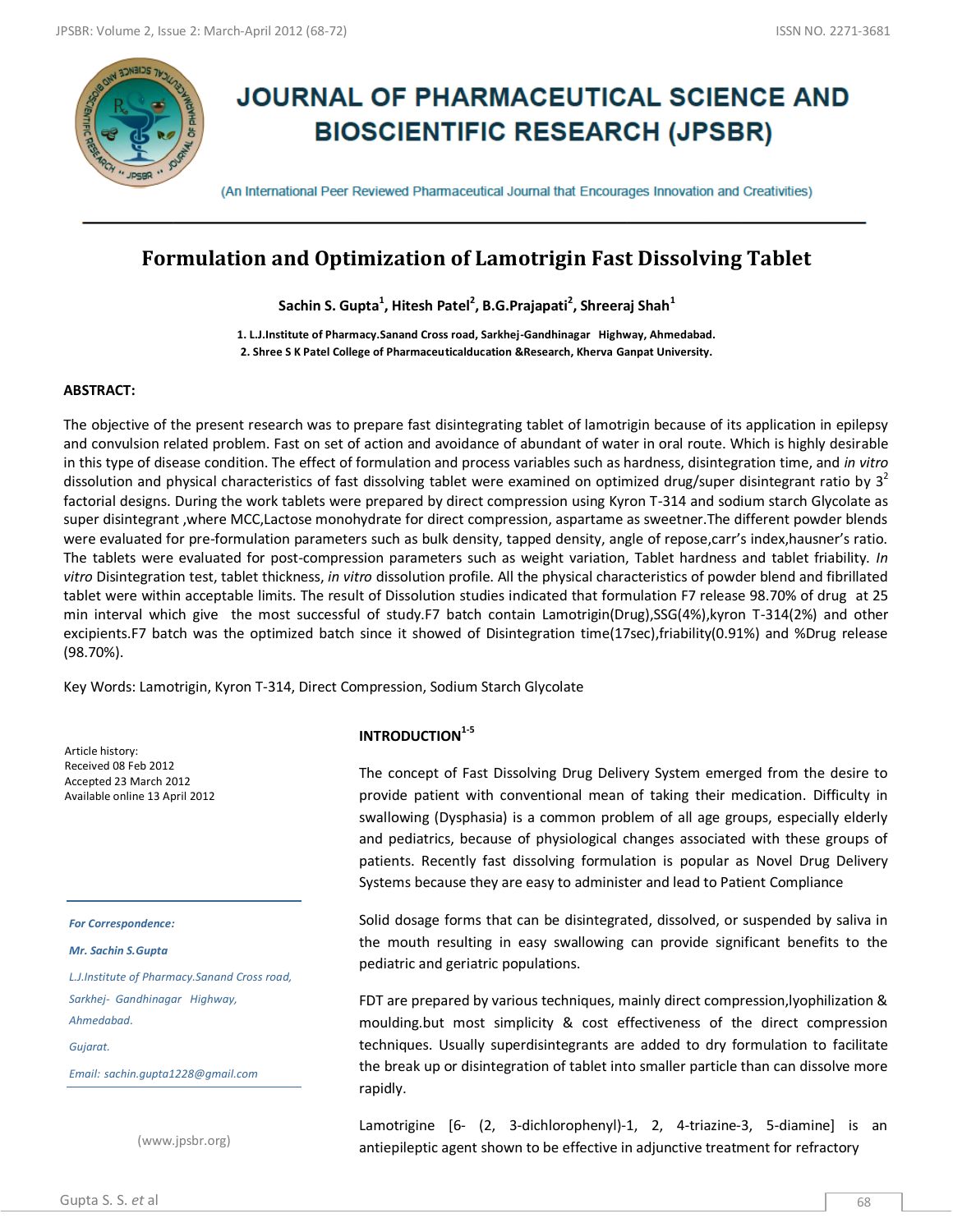

# **JOURNAL OF PHARMACEUTICAL SCIENCE AND BIOSCIENTIFIC RESEARCH (JPSBR)**

(An International Peer Reviewed Pharmaceutical Journal that Encourages Innovation and Creativities)

# **Formulation and Optimization of Lamotrigin Fast Dissolving Tablet**

**Sachin S. Gupta<sup>1</sup> , Hitesh Patel<sup>2</sup> , B.G.Prajapati<sup>2</sup> , Shreeraj Shah<sup>1</sup>**

**1. L.J.Institute of Pharmacy.Sanand Cross road, Sarkhej-Gandhinagar Highway, Ahmedabad. 2. Shree S K Patel College of Pharmaceuticalducation &Research, Kherva Ganpat University.**

#### **ABSTRACT:**

The objective of the present research was to prepare fast disintegrating tablet of lamotrigin because of its application in epilepsy and convulsion related problem. Fast on set of action and avoidance of abundant of water in oral route. Which is highly desirable in this type of disease condition. The effect of formulation and process variables such as hardness, disintegration time, and *in vitro* dissolution and physical characteristics of fast dissolving tablet were examined on optimized drug/super disintegrant ratio by  $3<sup>2</sup>$ factorial designs. During the work tablets were prepared by direct compression using Kyron T-314 and sodium starch Glycolate as super disintegrant ,where MCC,Lactose monohydrate for direct compression, aspartame as sweetner.The different powder blends were evaluated for pre-formulation parameters such as bulk density, tapped density, angle of repose,carr's index,hausner's ratio. The tablets were evaluated for post-compression parameters such as weight variation, Tablet hardness and tablet friability. *In vitro* Disintegration test, tablet thickness, *in vitro* dissolution profile. All the physical characteristics of powder blend and fibrillated tablet were within acceptable limits. The result of Dissolution studies indicated that formulation F7 release 98.70% of drug at 25 min interval which give the most successful of study.F7 batch contain Lamotrigin(Drug),SSG(4%),kyron T-314(2%) and other excipients.F7 batch was the optimized batch since it showed of Disintegration time(17sec),friability(0.91%) and %Drug release (98.70%).

Key Words: Lamotrigin, Kyron T-314, Direct Compression, Sodium Starch Glycolate

Article history: Received 08 Feb 2012 Accepted 23 March 2012 Available online 13 April 2012

*For Correspondence:*

*Mr. Sachin S.Gupta*

*L.J.Institute of Pharmacy.Sanand Cross road, Sarkhej- Gandhinagar Highway, Ahmedabad. Gujarat.*

*Email: sachin.gupta1228@gmail.com*

(www.jpsbr.org)

#### **INTRODUCTION1-5**

The concept of Fast Dissolving Drug Delivery System emerged from the desire to provide patient with conventional mean of taking their medication. Difficulty in swallowing (Dysphasia) is a common problem of all age groups, especially elderly and pediatrics, because of physiological changes associated with these groups of patients. Recently fast dissolving formulation is popular as Novel Drug Delivery Systems because they are easy to administer and lead to Patient Compliance

Solid dosage forms that can be disintegrated, dissolved, or suspended by saliva in the mouth resulting in easy swallowing can provide significant benefits to the pediatric and geriatric populations.

FDT are prepared by various techniques, mainly direct compression,lyophilization & moulding.but most simplicity & cost effectiveness of the direct compression techniques. Usually superdisintegrants are added to dry formulation to facilitate the break up or disintegration of tablet into smaller particle than can dissolve more rapidly.

Lamotrigine [6– (2, 3-dichlorophenyl)-1, 2, 4-triazine-3, 5-diamine] is an antiepileptic agent shown to be effective in adjunctive treatment for refractory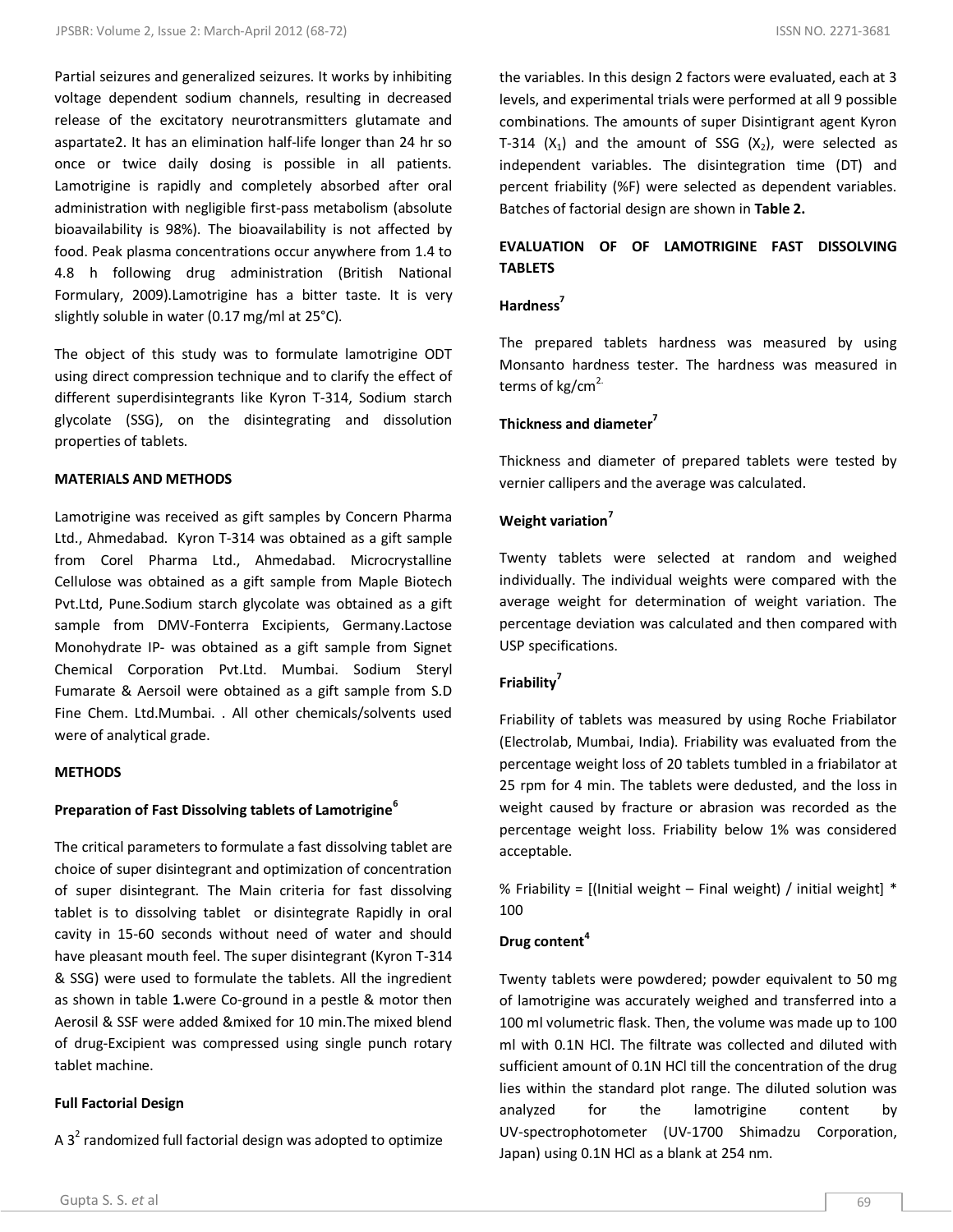Partial seizures and generalized seizures. It works by inhibiting voltage dependent sodium channels, resulting in decreased release of the excitatory neurotransmitters glutamate and aspartate2. It has an elimination half‐life longer than 24 hr so once or twice daily dosing is possible in all patients. Lamotrigine is rapidly and completely absorbed after oral administration with negligible first-pass metabolism (absolute bioavailability is 98%). The bioavailability is not affected by food. Peak plasma concentrations occur anywhere from 1.4 to 4.8 h following drug administration (British National Formulary, 2009).Lamotrigine has a bitter taste. It is very slightly soluble in water (0.17 mg/ml at 25°C).

The object of this study was to formulate lamotrigine ODT using direct compression technique and to clarify the effect of different superdisintegrants like Kyron T‐314, Sodium starch glycolate (SSG), on the disintegrating and dissolution properties of tablets.

#### **MATERIALS AND METHODS**

Lamotrigine was received as gift samples by Concern Pharma Ltd., Ahmedabad. Kyron T‐314 was obtained as a gift sample from Corel Pharma Ltd., Ahmedabad. Microcrystalline Cellulose was obtained as a gift sample from Maple Biotech Pvt.Ltd, Pune.Sodium starch glycolate was obtained as a gift sample from DMV-Fonterra Excipients, Germany.Lactose Monohydrate IP- was obtained as a gift sample from Signet Chemical Corporation Pvt.Ltd. Mumbai. Sodium Steryl Fumarate & Aersoil were obtained as a gift sample from S.D Fine Chem. Ltd.Mumbai. . All other chemicals/solvents used were of analytical grade.

#### **METHODS**

# **Preparation of Fast Dissolving tablets of Lamotrigine<sup>6</sup>**

The critical parameters to formulate a fast dissolving tablet are choice of super disintegrant and optimization of concentration of super disintegrant. The Main criteria for fast dissolving tablet is to dissolving tablet or disintegrate Rapidly in oral cavity in 15-60 seconds without need of water and should have pleasant mouth feel. The super disintegrant (Kyron T-314 & SSG) were used to formulate the tablets. All the ingredient as shown in table **1.**were Co-ground in a pestle & motor then Aerosil & SSF were added &mixed for 10 min.The mixed blend of drug-Excipient was compressed using single punch rotary tablet machine.

# **Full Factorial Design**

A  $3^2$  randomized full factorial design was adopted to optimize

the variables. In this design 2 factors were evaluated, each at 3 levels, and experimental trials were performed at all 9 possible combinations. The amounts of super Disintigrant agent Kyron T-314 ( $X_1$ ) and the amount of SSG ( $X_2$ ), were selected as independent variables. The disintegration time (DT) and percent friability (%F) were selected as dependent variables. Batches of factorial design are shown in **Table 2.**

# **EVALUATION OF OF LAMOTRIGINE FAST DISSOLVING TABLETS**

#### **Hardness<sup>7</sup>**

The prepared tablets hardness was measured by using Monsanto hardness tester. The hardness was measured in terms of  $kg/cm<sup>2</sup>$ .

#### **Thickness and diameter<sup>7</sup>**

Thickness and diameter of prepared tablets were tested by vernier callipers and the average was calculated.

#### **Weight variation<sup>7</sup>**

Twenty tablets were selected at random and weighed individually. The individual weights were compared with the average weight for determination of weight variation. The percentage deviation was calculated and then compared with USP specifications.

#### **Friability<sup>7</sup>**

Friability of tablets was measured by using Roche Friabilator (Electrolab, Mumbai, India). Friability was evaluated from the percentage weight loss of 20 tablets tumbled in a friabilator at 25 rpm for 4 min. The tablets were dedusted, and the loss in weight caused by fracture or abrasion was recorded as the percentage weight loss. Friability below 1% was considered acceptable.

% Friability =  $[$ (Initial weight – Final weight) / initial weight]  $*$ 100

#### **Drug content<sup>4</sup>**

Twenty tablets were powdered; powder equivalent to 50 mg of lamotrigine was accurately weighed and transferred into a 100 ml volumetric flask. Then, the volume was made up to 100 ml with 0.1N HCl. The filtrate was collected and diluted with sufficient amount of 0.1N HCl till the concentration of the drug lies within the standard plot range. The diluted solution was analyzed for the lamotrigine content by UV‐spectrophotometer (UV‐1700 Shimadzu Corporation, Japan) using 0.1N HCl as a blank at 254 nm.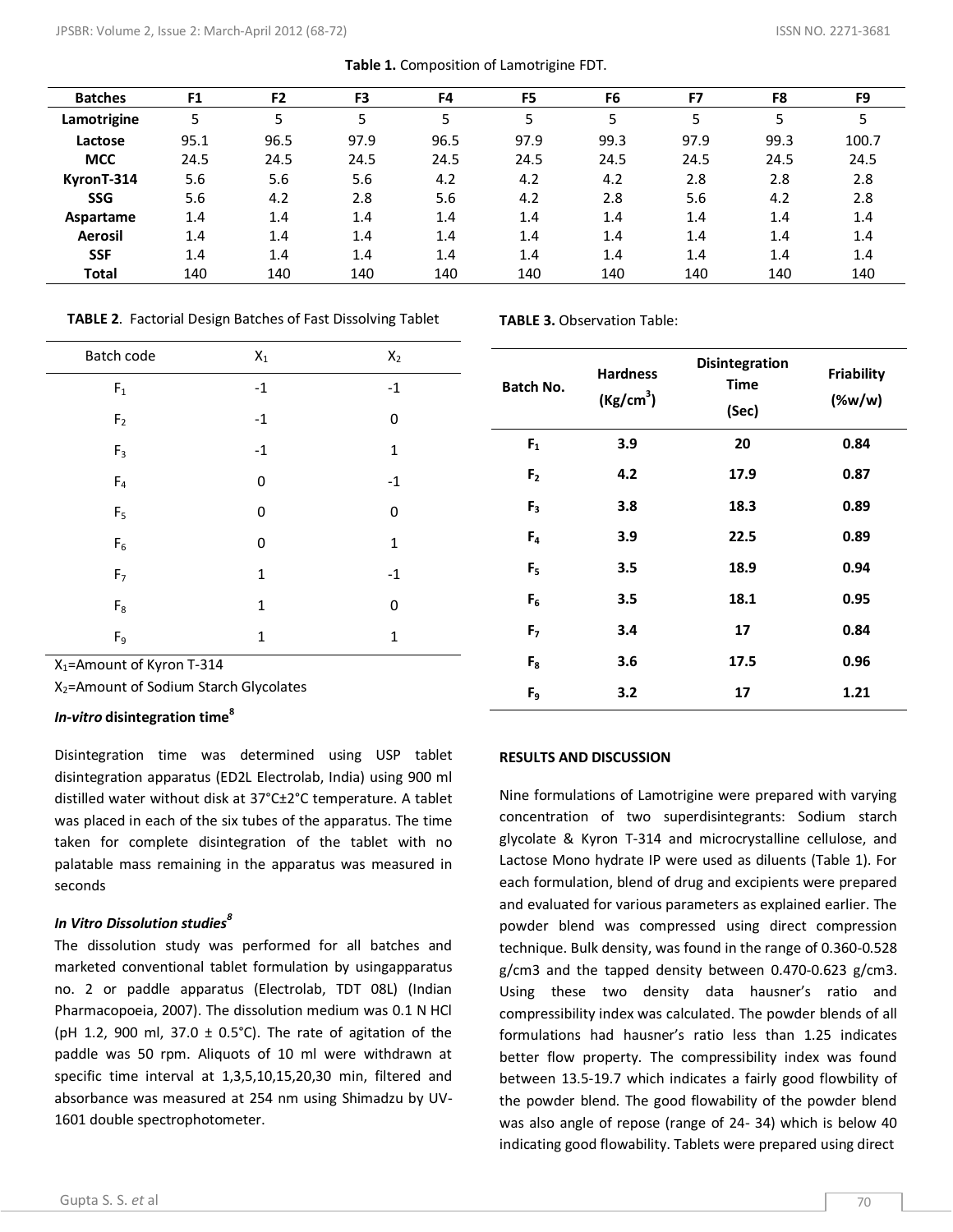| <b>Batches</b> | F <sub>1</sub> | F <sub>2</sub> | F <sub>3</sub> | F <sub>4</sub> | F5   | F <sub>6</sub> | F7   | F8   | F9    |
|----------------|----------------|----------------|----------------|----------------|------|----------------|------|------|-------|
| Lamotrigine    | 5              | 5              | 5              | 5              | 5    | 5              | 5    | 5    |       |
| Lactose        | 95.1           | 96.5           | 97.9           | 96.5           | 97.9 | 99.3           | 97.9 | 99.3 | 100.7 |
| <b>MCC</b>     | 24.5           | 24.5           | 24.5           | 24.5           | 24.5 | 24.5           | 24.5 | 24.5 | 24.5  |
| KyronT-314     | 5.6            | 5.6            | 5.6            | 4.2            | 4.2  | 4.2            | 2.8  | 2.8  | 2.8   |
| <b>SSG</b>     | 5.6            | 4.2            | 2.8            | 5.6            | 4.2  | 2.8            | 5.6  | 4.2  | 2.8   |
| Aspartame      | 1.4            | 1.4            | 1.4            | 1.4            | 1.4  | 1.4            | 1.4  | 1.4  | 1.4   |
| Aerosil        | 1.4            | 1.4            | 1.4            | 1.4            | 1.4  | 1.4            | 1.4  | 1.4  | 1.4   |
| <b>SSF</b>     | 1.4            | 1.4            | 1.4            | 1.4            | 1.4  | 1.4            | 1.4  | 1.4  | 1.4   |
| <b>Total</b>   | 140            | 140            | 140            | 140            | 140  | 140            | 140  | 140  | 140   |

**Table 1.** Composition of Lamotrigine FDT.

**TABLE 2**. Factorial Design Batches of Fast Dissolving Tablet

| Batch code     | $\mathsf{X}_1$ | $\mathsf{X}_2$          |
|----------------|----------------|-------------------------|
| $\mathsf{F}_1$ | $-1$           | $^{\mbox{{\small -1}}}$ |
| $\mathsf{F}_2$ | $-1$           | 0                       |
| $F_3$          | $-1$           | $\mathbf{1}$            |
| $F_4$          | 0              | $^{\rm -1}$             |
| $\mathsf{F}_5$ | 0              | 0                       |
| $F_6$          | 0              | $\mathbf{1}$            |
| F <sub>7</sub> | $\mathbf{1}$   | $-1$                    |
| $F_8$          | $\mathbf{1}$   | 0                       |
| $F_9$          | $\mathbf{1}$   | $\mathbf 1$             |

X1=Amount of Kyron T-314

X2=Amount of Sodium Starch Glycolates

## *In-vitro* **disintegration time<sup>8</sup>**

Disintegration time was determined using USP tablet disintegration apparatus (ED2L Electrolab, India) using 900 ml distilled water without disk at 37°C±2°C temperature. A tablet was placed in each of the six tubes of the apparatus. The time taken for complete disintegration of the tablet with no palatable mass remaining in the apparatus was measured in seconds

# *In Vitro Dissolution studies<sup>8</sup>*

The dissolution study was performed for all batches and marketed conventional tablet formulation by usingapparatus no. 2 or paddle apparatus (Electrolab, TDT 08L) (Indian Pharmacopoeia, 2007). The dissolution medium was 0.1 N HCl (pH 1.2, 900 ml, 37.0  $\pm$  0.5°C). The rate of agitation of the paddle was 50 rpm. Aliquots of 10 ml were withdrawn at specific time interval at 1,3,5,10,15,20,30 min, filtered and absorbance was measured at 254 nm using Shimadzu by UV-1601 double spectrophotometer.

**TABLE 3.** Observation Table:

| Batch No.      | <b>Hardness</b><br>(Kg/cm <sup>3</sup> ) | <b>Disintegration</b><br><b>Time</b><br>(Sec) | <b>Friability</b><br>(% |  |  |
|----------------|------------------------------------------|-----------------------------------------------|-------------------------|--|--|
| $F_1$          | 3.9                                      | 20                                            | 0.84                    |  |  |
| F <sub>2</sub> | 4.2                                      | 17.9                                          | 0.87                    |  |  |
| F <sub>3</sub> | 3.8                                      | 18.3                                          | 0.89                    |  |  |
| $F_4$          | 3.9                                      | 22.5                                          | 0.89                    |  |  |
| F <sub>5</sub> | 3.5                                      | 18.9                                          | 0.94                    |  |  |
| $F_6$          | 3.5                                      | 18.1                                          | 0.95                    |  |  |
| F <sub>7</sub> | 3.4                                      | 17                                            | 0.84                    |  |  |
| $F_8$          | 3.6                                      | 17.5                                          | 0.96                    |  |  |
| F <sub>9</sub> | 3.2                                      | 17                                            | 1.21                    |  |  |

#### **RESULTS AND DISCUSSION**

Nine formulations of Lamotrigine were prepared with varying concentration of two superdisintegrants: Sodium starch glycolate & Kyron T-314 and microcrystalline cellulose, and Lactose Mono hydrate IP were used as diluents (Table 1). For each formulation, blend of drug and excipients were prepared and evaluated for various parameters as explained earlier. The powder blend was compressed using direct compression technique. Bulk density, was found in the range of 0.360-0.528 g/cm3 and the tapped density between 0.470-0.623 g/cm3. Using these two density data hausner's ratio and compressibility index was calculated. The powder blends of all formulations had hausner's ratio less than 1.25 indicates better flow property. The compressibility index was found between 13.5-19.7 which indicates a fairly good flowbility of the powder blend. The good flowability of the powder blend was also angle of repose (range of 24- 34) which is below 40 indicating good flowability. Tablets were prepared using direct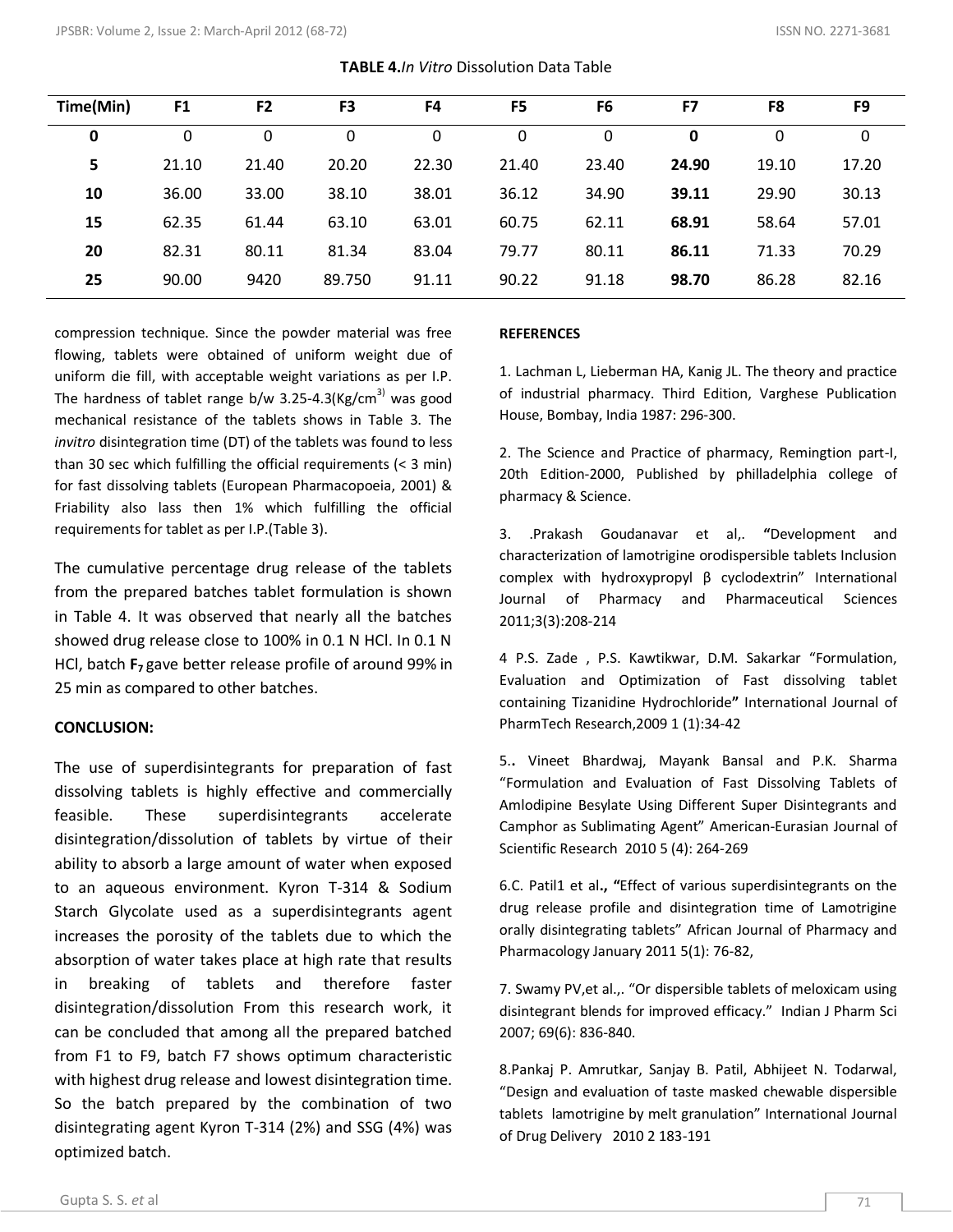| Time(Min) | F <sub>1</sub> | F <sub>2</sub> | F3     | F <sub>4</sub> | F <sub>5</sub> | F <sub>6</sub> | F7    | F8    | F <sub>9</sub> |
|-----------|----------------|----------------|--------|----------------|----------------|----------------|-------|-------|----------------|
| 0         | 0              | 0              | 0      | 0              | 0              | 0              | 0     | 0     | 0              |
| 5         | 21.10          | 21.40          | 20.20  | 22.30          | 21.40          | 23.40          | 24.90 | 19.10 | 17.20          |
| 10        | 36.00          | 33.00          | 38.10  | 38.01          | 36.12          | 34.90          | 39.11 | 29.90 | 30.13          |
| 15        | 62.35          | 61.44          | 63.10  | 63.01          | 60.75          | 62.11          | 68.91 | 58.64 | 57.01          |
| 20        | 82.31          | 80.11          | 81.34  | 83.04          | 79.77          | 80.11          | 86.11 | 71.33 | 70.29          |
| 25        | 90.00          | 9420           | 89.750 | 91.11          | 90.22          | 91.18          | 98.70 | 86.28 | 82.16          |

**TABLE 4.***In Vitro* Dissolution Data Table

compression technique. Since the powder material was free flowing, tablets were obtained of uniform weight due of uniform die fill, with acceptable weight variations as per I.P. The hardness of tablet range b/w 3.25-4.3(Kg/cm<sup>3)</sup> was good mechanical resistance of the tablets shows in Table 3. The *invitro* disintegration time (DT) of the tablets was found to less than 30 sec which fulfilling the official requirements (< 3 min) for fast dissolving tablets (European Pharmacopoeia, 2001) & Friability also lass then 1% which fulfilling the official requirements for tablet as per I.P.(Table 3).

The cumulative percentage drug release of the tablets from the prepared batches tablet formulation is shown in Table 4. It was observed that nearly all the batches showed drug release close to 100% in 0.1 N HCl. In 0.1 N HCl, batch **F7** gave better release profile of around 99% in 25 min as compared to other batches.

## **CONCLUSION:**

The use of superdisintegrants for preparation of fast dissolving tablets is highly effective and commercially feasible. These superdisintegrants accelerate disintegration/dissolution of tablets by virtue of their ability to absorb a large amount of water when exposed to an aqueous environment. Kyron T-314 & Sodium Starch Glycolate used as a superdisintegrants agent increases the porosity of the tablets due to which the absorption of water takes place at high rate that results in breaking of tablets and therefore faster disintegration/dissolution From this research work, it can be concluded that among all the prepared batched from F1 to F9, batch F7 shows optimum characteristic with highest drug release and lowest disintegration time. So the batch prepared by the combination of two disintegrating agent Kyron T-314 (2%) and SSG (4%) was optimized batch.

# **REFERENCES**

1. Lachman L, Lieberman HA, Kanig JL. The theory and practice of industrial pharmacy. Third Edition, Varghese Publication House, Bombay, India 1987: 296‐300.

2. The Science and Practice of pharmacy, Remingtion part-I, 20th Edition-2000, Published by philladelphia college of pharmacy & Science.

3. .Prakash Goudanavar et al,. **"**Development and characterization of lamotrigine orodispersible tablets Inclusion complex with hydroxypropyl β cyclodextrin" International Journal of Pharmacy and Pharmaceutical Sciences 2011;3(3):208-214

4 P.S. Zade , P.S. Kawtikwar, D.M. Sakarkar "Formulation, Evaluation and Optimization of Fast dissolving tablet containing Tizanidine Hydrochloride**"** International Journal of PharmTech Research,2009 1 (1):34-42

5.**.** Vineet Bhardwaj, Mayank Bansal and P.K. Sharma "Formulation and Evaluation of Fast Dissolving Tablets of Amlodipine Besylate Using Different Super Disintegrants and Camphor as Sublimating Agent" American-Eurasian Journal of Scientific Research 2010 5 (4): 264-269

6.C. Patil1 et al**., "**Effect of various superdisintegrants on the drug release profile and disintegration time of Lamotrigine orally disintegrating tablets" African Journal of Pharmacy and Pharmacology January 2011 5(1): 76-82,

7. Swamy PV,et al.,. "Or dispersible tablets of meloxicam using disintegrant blends for improved efficacy." Indian J Pharm Sci 2007; 69(6): 836‐840.

8.Pankaj P. Amrutkar, Sanjay B. Patil, Abhijeet N. Todarwal, "Design and evaluation of taste masked chewable dispersible tablets lamotrigine by melt granulation" International Journal of Drug Delivery 2010 2 183-191